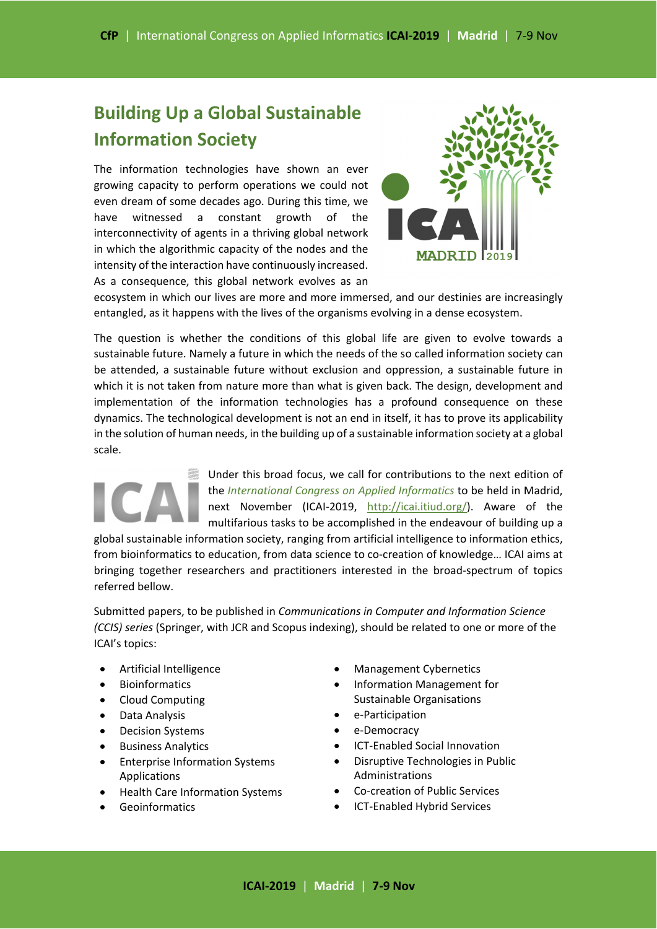# **Building Up a Global Sustainable Information Society**

The information technologies have shown an ever growing capacity to perform operations we could not even dream of some decades ago. During this time, we have witnessed a constant growth of the interconnectivity of agents in a thriving global network in which the algorithmic capacity of the nodes and the intensity of the interaction have continuously increased. As a consequence, this global network evolves as an



ecosystem in which our lives are more and more immersed, and our destinies are increasingly entangled, as it happens with the lives of the organisms evolving in a dense ecosystem.

The question is whether the conditions of this global life are given to evolve towards a sustainable future. Namely a future in which the needs of the so called information society can be attended, a sustainable future without exclusion and oppression, a sustainable future in which it is not taken from nature more than what is given back. The design, development and implementation of the information technologies has a profound consequence on these dynamics. The technological development is not an end in itself, it has to prove its applicability in the solution of human needs, in the building up of a sustainable information society at a global scale.

> Under this broad focus, we call for contributions to the next edition of the *International Congress on Applied Informatics* to be held in Madrid, next November (ICAI-2019, http://icai.itiud.org/). Aware of the multifarious tasks to be accomplished in the endeavour of building up a

global sustainable information society, ranging from artificial intelligence to information ethics, from bioinformatics to education, from data science to co-creation of knowledge... ICAI aims at bringing together researchers and practitioners interested in the broad-spectrum of topics referred bellow.

Submitted papers, to be published in *Communications in Computer and Information Science (CCIS) series* (Springer, with JCR and Scopus indexing), should be related to one or more of the ICAI's topics:

- Artificial Intelligence
- Bioinformatics
- Cloud Computing
- Data Analysis
- Decision Systems
- Business Analytics
- Enterprise Information Systems Applications
- Health Care Information Systems
- Geoinformatics
- Management Cybernetics
- Information Management for Sustainable Organisations
- e‐Participation
- e‐Democracy
- ICT‐Enabled Social Innovation
- Disruptive Technologies in Public Administrations
- Co‐creation of Public Services
- ICT-Enabled Hybrid Services